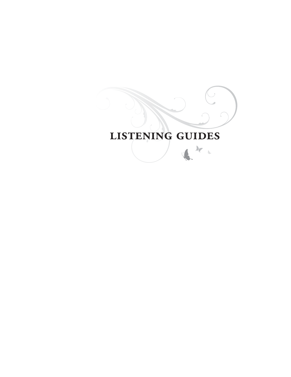# **listening guides**A X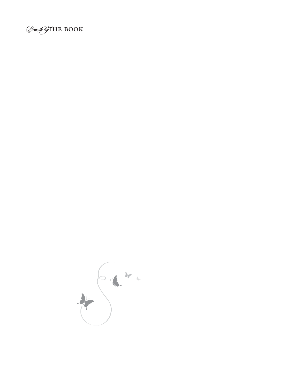

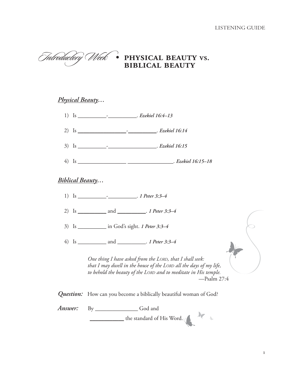Introductory Week **• physical beauty vs. biblical beauty**

## *Physical Beauty…*



**1**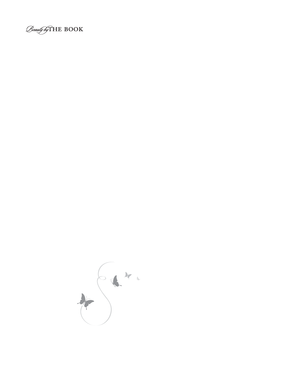

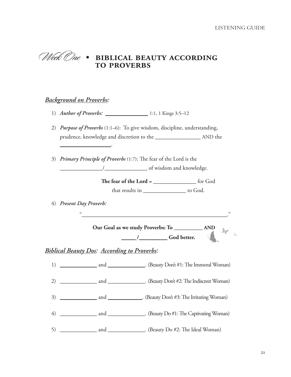# Week One **• biblical beauty according** *Then To PROVERBS*

## *Background on Proverbs:*

\_\_\_\_\_\_\_\_\_\_\_\_\_\_\_\_\_\_.

- 1) *Author of Proverbs:* \_\_\_\_\_\_\_\_\_\_\_\_\_\_\_ 1:1, 1 Kings 3:5*–*12
- 2) *Purpose of Proverbs* (1:1*–*6): To give wisdom, discipline, understanding, prudence, knowledge and discretion to the \_\_\_\_\_\_\_\_\_\_\_\_\_\_\_\_ AND the
- 3) *Primary Principle of Proverbs* (1:7): The fear of the Lord is the \_\_\_\_\_\_\_\_\_\_\_\_\_\_\_/\_\_\_\_\_\_\_\_\_\_\_\_\_\_\_ of wisdom and knowledge.

The fear of the Lord = \_\_\_\_\_\_\_\_\_\_\_\_\_\_\_\_\_\_\_\_ for God that results in \_\_\_\_\_\_\_\_\_\_\_\_\_\_\_ to God.

4) *Present Day Proverb:*

**Our Goal as we study Proverbs: To** \_\_\_\_\_\_\_\_\_\_ **AND** \_\_\_\_\_ **/**\_\_\_\_\_\_\_\_\_\_ **God better.**

## *Biblical Beauty Dos: According to Proverbs:*

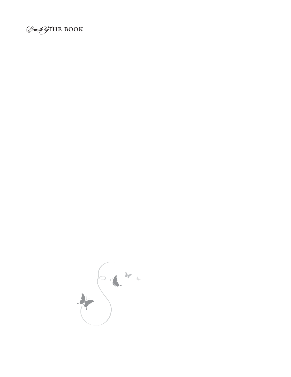

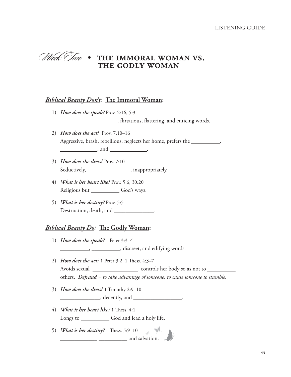#### listening guide

## Week Two • THE IMMORAL WOMAN VS. *The INNORAL WOM*<br>THE GODLY WOMAN

### *Biblical Beauty Don't:* The Immoral Woman:

- 1) *How does she speak?* Prov. 2:16, 5:3 **EXECUTE:** First during, flattering, and enticing words.
- 2) *How does she act?* Prov. 7:10–16 Aggressive, brash, rebellious, neglects her home, prefers the \_\_\_\_\_\_\_\_\_\_,  $\lambda$ , and  $\lambda$ .
- 3) *How does she dress?* Prov. 7:10 Seductively, \_\_\_\_\_\_\_\_\_\_\_\_\_\_\_, inappropriately.
- 4) *What is her heart like?* Prov. 5:6, 30:20 Religious but \_\_\_\_\_\_\_\_\_\_\_\_ God's ways.
- 5) *What is her destiny?* Prov. 5:5 Destruction, death, and \_\_\_\_\_\_\_\_\_\_\_\_\_\_.

## *Biblical Beauty Do:* The Godly Woman:

- 1) *How does she speak?* 1 Peter 3:3–4 \_\_\_\_\_\_\_\_\_\_, \_\_\_\_\_\_\_\_\_\_, discreet, and edifying words.
- 2) *How does she act?* 1 Peter 3:2, 1 Thess. 4:3-7 Avoids sexual \_\_\_\_\_\_\_\_\_\_\_\_\_\_, controls her body so as not to \_\_\_\_\_\_\_\_\_\_ others. *Defraud = to take advantage of someone; to cause someone to stumble.*
- 3) *How does she dress?* 1 Timothy 2:9–10  $\qquad \qquad$  decently, and \_\_\_\_\_\_\_\_\_\_\_\_\_\_\_.
- 4) *What is her heart like?* 1 Thess. 4:1 Longs to \_\_\_\_\_\_\_\_\_\_\_\_\_\_\_ God and lead a holy life.
- 5) *What is her destiny?* 1 Thess.  $5:9-10$  $\frac{1}{\sqrt{2\pi}}$  and salvation.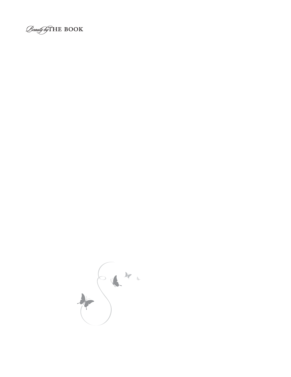

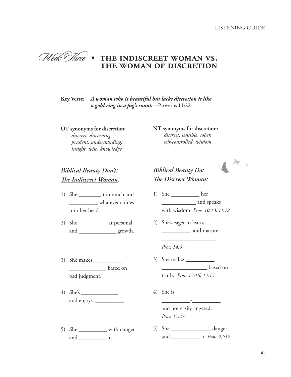listening guide

C X



## Week Three • THE INDISCREET WOMAN VS.  **the woman of discretion**

**Key Verse:** *A woman who is beautiful but lacks discretion is like a gold ring in a pig's snout.*—Proverbs 11:22

**OT synonyms for discretion:** *discreet, discerning, prudent, understanding, insight, wise, knowledge*

## *Biblical Beauty Don't: The Indiscreet Woman:*

- 1) She \_\_\_\_\_\_\_\_\_ too much and \_\_\_\_\_\_\_\_\_\_ whatever comes into her head.
- 2) She \_\_\_\_\_\_\_\_\_\_ at personal and growth.
- 3) She makes \_\_\_\_\_\_\_\_\_\_ \_\_\_\_\_\_\_\_\_\_\_\_\_ based on bad judgment.
- 4) She's \_\_\_\_\_\_\_\_\_\_\_\_\_ and enjoys \_\_\_\_\_\_\_\_\_\_\_.
- 5) She \_\_\_\_\_\_\_\_\_\_ with danger and \_\_\_\_\_\_\_\_\_\_ it.

**NT synonyms for discretion:** *discreet, sensible, sober, self-controlled, wisdom*

## *Biblical Beauty Do: The Discreet Woman:*

- 1) She \_\_\_\_\_\_\_\_\_\_ her \_\_\_\_\_\_\_\_\_\_\_\_ and speaks with wisdom. *Prov. 10:13, 11:12*
- 2) She's eager to learn, \_\_\_\_\_\_\_\_\_\_, and mature

*Prov. 14:6*

3) She makes  $\overline{\qquad \qquad }$ \_\_\_\_\_\_\_\_\_\_\_\_\_\_\_\_ based on truth. *Prov. 13:16, 14:15*

\_\_\_\_\_\_\_\_\_\_\_\_\_\_\_\_\_\_\_.

4) She is

and not easily angered. *Prov. 17:27*

\_\_\_\_\_\_\_\_\_\_-\_\_\_\_\_\_\_\_\_\_

5) She \_\_\_\_\_\_\_\_\_\_\_\_\_\_ danger and \_\_\_\_\_\_\_\_\_\_ it. *Prov. 27:12*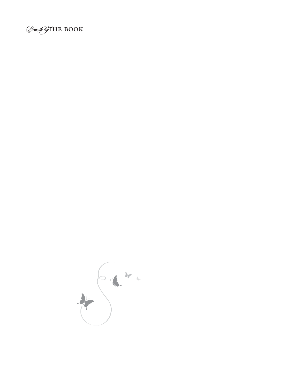

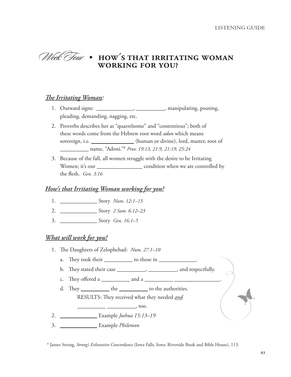

# Week Four **• how´s that irritating woman** *Week Qual* • HOW STHAT IRRITA

## **The Irritating Woman:**

- 1. Outward signs: \_\_\_\_\_\_\_\_\_\_\_\_\_\_, \_\_\_\_\_\_\_\_\_, manipulating, pouting, pleading, demanding, nagging, etc.
- 2. Proverbs describes her as "quarrelsome" and "contentious"; both of these words come from the Hebrew root word *adon* which means sovereign, i.e. \_\_\_\_\_\_\_\_\_\_\_\_\_\_\_ (human or divine), lord, master, root of \_\_\_\_\_\_\_\_\_\_ name, "Adoni."8 *Prov. 19:13, 21:9, 21:19, 25:24*
- 3. Because of the fall, all women struggle with the desire to be Irritating Women; it's our condition when we are controlled by the flesh. *Gen.* 3:16

## *How's that Irritating Woman working for you?*

- 1. \_\_\_\_\_\_\_\_\_\_\_\_\_ Story *Num. 12:1–15*
- 2. \_\_\_\_\_\_\_\_\_\_\_\_\_ Story *2 Sam. 6:12–23*
- 3. \_\_\_\_\_\_\_\_\_\_\_\_\_ Story *Gen. 16:1–5*

### *What will work for you?*

- 1. The Daughters of Zelophehad: *Num. 27:1–10* 
	- a. They took their  $\qquad$  to those in  $\qquad$
	- b. They stated their case \_\_\_\_\_\_\_\_\_, \_\_\_\_\_\_\_\_\_, and respectfully.
	- c. Th ey off ered a \_\_\_\_\_\_\_\_\_\_ and a \_\_\_\_\_\_\_\_\_\_ \_\_\_\_\_\_\_\_\_\_\_\_\_\_\_\_.
	- d. They \_\_\_\_\_\_\_\_\_\_\_ the \_\_\_\_\_\_\_\_\_\_ to the authorities. RESULTS: They received what they needed *and* 
		- **\_\_\_\_\_\_\_\_\_\_\_** \_\_\_\_\_\_\_\_\_\_\_\_\_\_\_\_\_, too.
- 2. \_\_\_\_\_\_\_\_\_\_\_\_\_ Example *Joshua 15:13–19*
- 3. \_\_\_\_\_\_\_\_\_\_\_\_\_ Example *Philemon*

<sup>8</sup> James Strong, *Strong's Exhaustive Concordance* (Iowa Falls, Iowa: Riverside Book and Bible House), 113.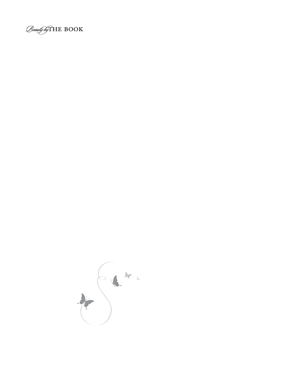

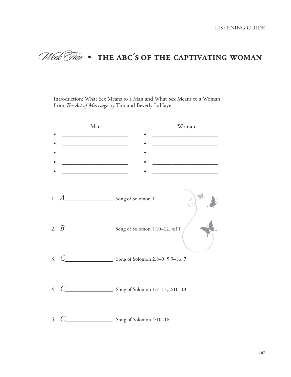# Week Five • THE ABC'S OF THE CAPTIVATING WOMAN

Introduction: What Sex Means to a Man and What Sex Means to a Woman from *The Act of Marriage* by Tim and Beverly LaHaye.

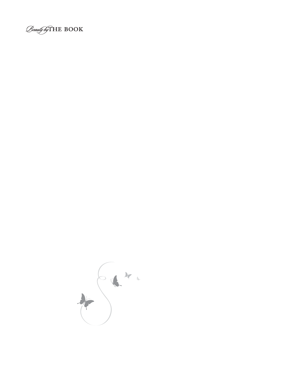

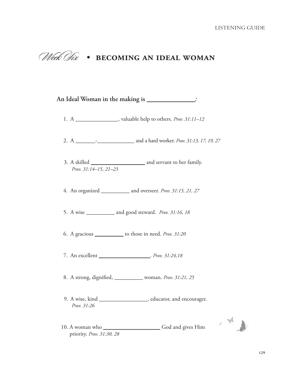# Week Olix • **BECOMING AN IDEAL WOMAN**

| An Ideal Woman in the making is __________                                   |
|------------------------------------------------------------------------------|
| 1. A _______________, valuable help to others. Prov. 31:11-12                |
|                                                                              |
| Prov. 31:14-15, 21-23                                                        |
| 4. An organized _____________ and overseer. Prov. 31:15, 21, 27              |
| 5. A wise ____________ and good steward. Prov. 31:16, 18                     |
| 6. A gracious ____________ to those in need. Prov. 31:20                     |
| 7. An excellent ______________________. Prov. 31:24,18                       |
| 8. A strong, dignified, _____________ woman. Prov. 31:21, 25                 |
| 9. A wise, kind __________________, educator, and encourager.<br>Prov. 31:26 |
| $\mathcal{A}$<br>priority. Prov. 31:30, 28                                   |